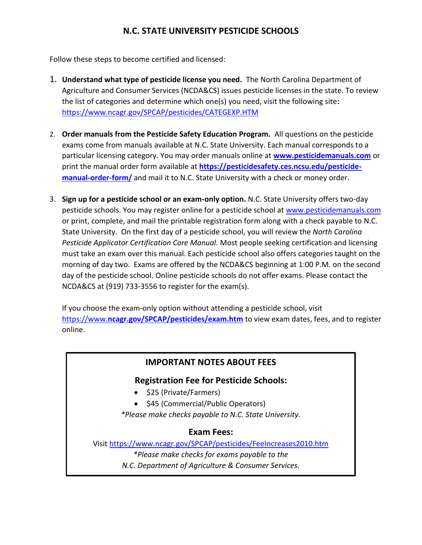# **N.C. STATE UNIVERSITY PESTICIDE SCHOOLS**

Follow these steps to become certified and licensed:

- 1. **Understand what type of pesticide license you need.** The North Carolina Department of Agriculture and Consumer Services (NCDA&CS) issues pesticide licenses in the state. To review the list of categories and determine which one(s) you need, visit the following site**:**  <https://www.ncagr.gov/SPCAP/pesticides/CATEGEXP.HTM>
- 2. **Order manuals from the Pesticide Safety Education Program.** All questions on the pesticide exams come from manuals available at N.C. State University. Each manual corresponds to a particular licensing category. You may order manuals online at **[www.pesticidemanuals.com](http://www.pesticidemanuals.com/)** or print the manual order form available at **[https://pesticidesafety.ces.ncsu.edu/pesticide](https://pesticidesafety.ces.ncsu.edu/pesticide-manual-order-form/)[manual-order-form/](https://pesticidesafety.ces.ncsu.edu/pesticide-manual-order-form/)** and mail it to N.C. State University with a check or money order.
- 3. **Sign up for a pesticide school or an exam-only option.** N.C. State University offers two-day pesticide schools. You may register online for a pesticide school at [www.pesticidemanuals.com](https://commerce.cashnet.com/NCSUPS?CNAME=SCHOOLS) or print, complete, and mail the printable registration form along with a check payable to N.C. State University. On the first day of a pesticide school, you will review the *North Carolina Pesticide Applicator Certification Core Manual*. Most people seeking certification and licensing must take an exam over this manual. Each pesticide school also offers categories taught on the morning of day two. Exams are offered by the NCDA&CS beginning at 1:00 P.M. on the second day of the pesticide school. Online pesticide schools do not offer exams. Please contact the NCDA&CS at (919) 733-3556 to register for the exam(s).

If you choose the exam-only option without attending a pesticide school, visit https://www.**[ncagr.gov/SPCAP/pesticides/exam.htm](https://www.ncagr.gov/SPCAP/pesticides/exam.htm)** to view exam dates, fees, and to register online.

# **IMPORTANT NOTES ABOUT FEES**

# **Registration Fee for Pesticide Schools:**

• \$25 (Private/Farmers)

• \$45 (Commercial/Public Operators) *\*Please make checks payable to N.C. State University.*

# **Exam Fees:**

Visi[t https://www.ncagr.gov/SPCAP/pesticides/FeeIncreases2010.htm](https://www.ncagr.gov/SPCAP/pesticides/FeeIncreases2010.htm) *\*Please make checks for exams payable to the N.C. Department of Agriculture & Consumer Services.*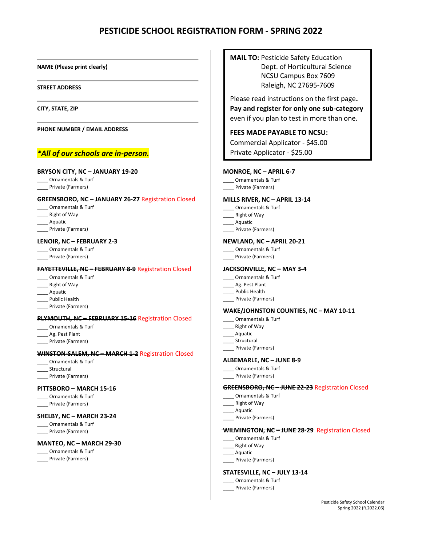# **PESTICIDE SCHOOL REGISTRATION FORM - SPRING 2022**

#### **NAME (Please print clearly)**

#### **STREET ADDRESS**

**CITY, STATE, ZIP**

**PHONE NUMBER / EMAIL ADDRESS**

## *\*All of our schools are in-person.*

#### **BRYSON CITY, NC – JANUARY 19-20**

- \_\_\_\_ Ornamentals & Turf
- \_\_\_\_ Private (Farmers)

### **GREENSBORO, NC – JANUARY 26-27** Registration Closed

- \_\_\_\_ Ornamentals & Turf
- \_\_\_\_ Right of Way
- \_\_\_\_ Aquatic
- Private (Farmers)

#### **LENOIR, NC – FEBRUARY 2-3**

- \_\_\_\_ Ornamentals & Turf
- \_\_\_\_ Private (Farmers)

#### **FAYETTEVILLE, NC – FEBRUARY 8-9** Registration Closed

- \_\_\_\_ Ornamentals & Turf
- \_\_\_\_ Right of Way
- \_\_\_\_ Aquatic
- \_\_\_\_ Public Health
- \_\_\_\_ Private (Farmers)

### **PLYMOUTH, NC – FEBRUARY 15-16** Registration Closed

- \_\_\_\_ Ornamentals & Turf
- \_\_\_\_ Ag. Pest Plant
- \_\_\_\_ Private (Farmers)

#### **WINSTON-SALEM, NC – MARCH 1-2** Registration Closed

- \_\_\_\_ Ornamentals & Turf
- \_\_\_\_ Structural
- Private (Farmers)

#### **PITTSBORO – MARCH 15-16**

- \_\_\_\_ Ornamentals & Turf
- \_\_\_\_ Private (Farmers)

### **SHELBY, NC – MARCH 23-24**

\_\_\_\_ Ornamentals & Turf \_\_\_\_ Private (Farmers)

#### **MANTEO, NC – MARCH 29-30**

- \_\_\_\_ Ornamentals & Turf
- \_\_\_\_ Private (Farmers)

**MAIL TO:** Pesticide Safety Education Dept. of Horticultural Science NCSU Campus Box 7609 Raleigh, NC 27695-7609

Please read instructions on the first page**. Pay and register for only one sub-category** even if you plan to test in more than one.

## **FEES MADE PAYABLE TO NCSU:**

Commercial Applicator - \$45.00

Private Applicator - \$25.00

#### **MONROE, NC – APRIL 6-7**

- \_\_\_\_ Ornamentals & Turf
- Private (Farmers)

#### **MILLS RIVER, NC – APRIL 13-14**

- \_\_\_\_ Ornamentals & Turf
- \_\_\_\_ Right of Way
- \_\_\_\_ Aquatic
- \_\_\_\_ Private (Farmers)

#### **NEWLAND, NC – APRIL 20-21**

- \_\_\_\_ Ornamentals & Turf
- \_\_\_\_ Private (Farmers)

### **JACKSONVILLE, NC – MAY 3-4**

- \_\_\_\_ Ornamentals & Turf
- \_\_\_\_\_ Ag. Pest Plant
- \_\_\_\_\_ Public Health
- \_\_\_\_ Private (Farmers)

### **WAKE/JOHNSTON COUNTIES, NC – MAY 10-11**

- \_\_\_\_ Ornamentals & Turf
- \_\_\_\_ Right of Way
- \_\_\_\_ Aquatic
- \_\_\_\_ Structural
- \_\_\_\_ Private (Farmers)

### **ALBEMARLE, NC – JUNE 8-9**

- \_\_\_\_ Ornamentals & Turf
- \_\_\_\_ Private (Farmers)

#### GREENSBORO<del>,</del> NC-JUNE 22-23 Registration Closed

- \_\_\_\_ Ornamentals & Turf
- \_\_\_\_ Right of Way
- \_\_\_\_ Aquatic
- \_\_\_\_ Private (Farmers)

#### WILMINGTON, NC- JUNE 28-29 Registration Closed

- \_\_\_\_ Ornamentals & Turf
- \_\_\_\_ Right of Way
- \_\_\_\_ Aquatic
- \_\_\_\_ Private (Farmers)

# **STATESVILLE, NC – JULY 13-14**

- \_\_\_\_ Ornamentals & Turf
- \_\_\_\_ Private (Farmers)